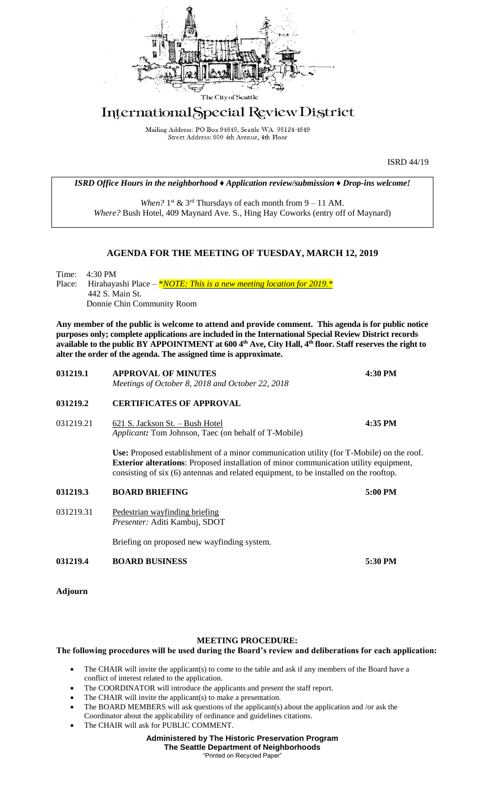

## International Special Review District

Mailing Address: PO Box 94649, Seattle WA 98124-4649 Street Address: 600 4th Avenue, 4th Floor

ISRD 44/19

*ISRD Office Hours in the neighborhood ♦ Application review/submission ♦ Drop-ins welcome!*

When?  $1<sup>st</sup>$  &  $3<sup>rd</sup>$  Thursdays of each month from  $9 - 11$  AM. *Where?* Bush Hotel, 409 Maynard Ave. S., Hing Hay Coworks (entry off of Maynard)

## **AGENDA FOR THE MEETING OF TUESDAY, MARCH 12, 2019**

Time: 4:30 PM Place: Hirabayashi Place – *\*NOTE: This is a new meeting location for 2019.* \* 442 S. Main St. Donnie Chin Community Room

**Any member of the public is welcome to attend and provide comment. This agenda is for public notice purposes only; complete applications are included in the International Special Review District records available to the public BY APPOINTMENT at 600 4th Ave, City Hall, 4th floor. Staff reserves the right to alter the order of the agenda. The assigned time is approximate.** 

| 031219.1       | <b>APPROVAL OF MINUTES</b><br>Meetings of October 8, 2018 and October 22, 2018                                                                                                                                                                                                    | 4:30 PM |
|----------------|-----------------------------------------------------------------------------------------------------------------------------------------------------------------------------------------------------------------------------------------------------------------------------------|---------|
| 031219.2       | <b>CERTIFICATES OF APPROVAL</b>                                                                                                                                                                                                                                                   |         |
| 031219.21      | 621 S. Jackson St. - Bush Hotel<br><i>Applicant:</i> Tom Johnson, Taec (on behalf of T-Mobile)                                                                                                                                                                                    | 4:35 PM |
|                | Use: Proposed establishment of a minor communication utility (for T-Mobile) on the roof.<br><b>Exterior alterations:</b> Proposed installation of minor communication utility equipment,<br>consisting of six (6) antennas and related equipment, to be installed on the rooftop. |         |
| 031219.3       | <b>BOARD BRIEFING</b>                                                                                                                                                                                                                                                             | 5:00 PM |
| 031219.31      | Pedestrian wayfinding briefing<br>Presenter: Aditi Kambuj, SDOT                                                                                                                                                                                                                   |         |
|                | Briefing on proposed new wayfinding system.                                                                                                                                                                                                                                       |         |
| 031219.4       | <b>BOARD BUSINESS</b>                                                                                                                                                                                                                                                             | 5:30 PM |
| <b>Adjourn</b> |                                                                                                                                                                                                                                                                                   |         |

## **MEETING PROCEDURE:**

## **The following procedures will be used during the Board's review and deliberations for each application:**

- The CHAIR will invite the applicant(s) to come to the table and ask if any members of the Board have a conflict of interest related to the application.
- The COORDINATOR will introduce the applicants and present the staff report.
- The CHAIR will invite the applicant(s) to make a presentation.
- The BOARD MEMBERS will ask questions of the applicant(s) about the application and /or ask the Coordinator about the applicability of ordinance and guidelines citations.
- The CHAIR will ask for PUBLIC COMMENT.

**Administered by The Historic Preservation Program The Seattle Department of Neighborhoods**

"Printed on Recycled Paper"